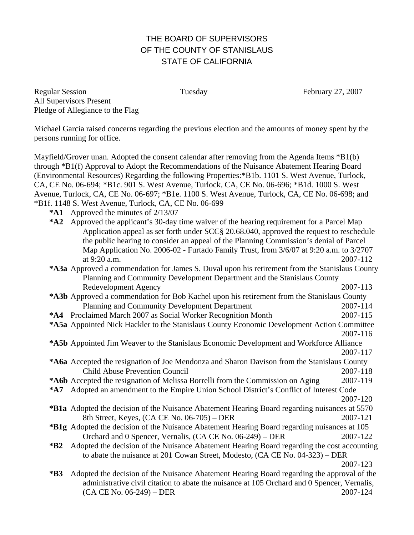## THE BOARD OF SUPERVISORS OF THE COUNTY OF STANISLAUS STATE OF CALIFORNIA

Regular Session Tuesday February 27, 2007 All Supervisors Present Pledge of Allegiance to the Flag

Michael Garcia raised concerns regarding the previous election and the amounts of money spent by the persons running for office.

Mayfield/Grover unan. Adopted the consent calendar after removing from the Agenda Items \*B1(b) through \*B1(f) Approval to Adopt the Recommendations of the Nuisance Abatement Hearing Board (Environmental Resources) Regarding the following Properties:\*B1b. 1101 S. West Avenue, Turlock, CA, CE No. 06-694; \*B1c. 901 S. West Avenue, Turlock, CA, CE No. 06-696; \*B1d. 1000 S. West Avenue, Turlock, CA, CE No. 06-697; \*B1e. 1100 S. West Avenue, Turlock, CA, CE No. 06-698; and \*B1f. 1148 S. West Avenue, Turlock, CA, CE No. 06-699

- **\*A1** Approved the minutes of 2/13/07
- **\*A2** Approved the applicant's 30-day time waiver of the hearing requirement for a Parcel Map Application appeal as set forth under SCC§ 20.68.040, approved the request to reschedule the public hearing to consider an appeal of the Planning Commission's denial of Parcel Map Application No. 2006-02 - Furtado Family Trust, from 3/6/07 at 9:20 a.m. to 3/2707 at 9:20 a.m. 2007-112 **\*A3a** Approved a commendation for James S. Duval upon his retirement from the Stanislaus County

Planning and Community Development Department and the Stanislaus County Redevelopment Agency 2007-113 **\*A3b** Approved a commendation for Bob Kachel upon his retirement from the Stanislaus County Planning and Community Development Department 2007-114

**\*A4** Proclaimed March 2007 as Social Worker Recognition Month 2007-115

- **\*A5b** Appointed Jim Weaver to the Stanislaus Economic Development and Workforce Alliance 2007-117
- **\*A6a** Accepted the resignation of Joe Mendonza and Sharon Davison from the Stanislaus County Child Abuse Prevention Council 2007-118
- **\*A6b** Accepted the resignation of Melissa Borrelli from the Commission on Aging 2007-119
- **\*A7** Adopted an amendment to the Empire Union School District's Conflict of Interest Code 2007-120
- **\*B1a** Adopted the decision of the Nuisance Abatement Hearing Board regarding nuisances at 5570 8th Street, Keyes, (CA CE No. 06-705) – DER 2007-121
- **\*B1g** Adopted the decision of the Nuisance Abatement Hearing Board regarding nuisances at 105 Orchard and 0 Spencer, Vernalis, (CA CE No. 06-249) – DER 2007-122
- **\*B2** Adopted the decision of the Nuisance Abatement Hearing Board regarding the cost accounting to abate the nuisance at 201 Cowan Street, Modesto, (CA CE No. 04-323) – DER

2007-123

**\*B3** Adopted the decision of the Nuisance Abatement Hearing Board regarding the approval of the administrative civil citation to abate the nuisance at 105 Orchard and 0 Spencer, Vernalis, (CA CE No. 06-249) – DER 2007-124

**<sup>\*</sup>A5a** Appointed Nick Hackler to the Stanislaus County Economic Development Action Committee 2007-116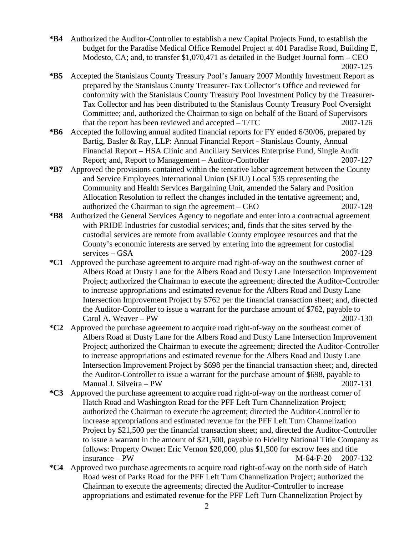- **\*B4** Authorized the Auditor-Controller to establish a new Capital Projects Fund, to establish the budget for the Paradise Medical Office Remodel Project at 401 Paradise Road, Building E, Modesto, CA; and, to transfer \$1,070,471 as detailed in the Budget Journal form – CEO 2007-125
- **\*B5** Accepted the Stanislaus County Treasury Pool's January 2007 Monthly Investment Report as prepared by the Stanislaus County Treasurer-Tax Collector's Office and reviewed for conformity with the Stanislaus County Treasury Pool Investment Policy by the Treasurer-Tax Collector and has been distributed to the Stanislaus County Treasury Pool Oversight Committee; and, authorized the Chairman to sign on behalf of the Board of Supervisors that the report has been reviewed and accepted – T/TC 2007-126
- **\*B6** Accepted the following annual audited financial reports for FY ended 6/30/06, prepared by Bartig, Basler & Ray, LLP: Annual Financial Report - Stanislaus County, Annual Financial Report – HSA Clinic and Ancillary Services Enterprise Fund, Single Audit Report; and, Report to Management – Auditor-Controller 2007-127
- **\*B7** Approved the provisions contained within the tentative labor agreement between the County and Service Employees International Union (SEIU) Local 535 representing the Community and Health Services Bargaining Unit, amended the Salary and Position Allocation Resolution to reflect the changes included in the tentative agreement; and, authorized the Chairman to sign the agreement – CEO 2007-128
- **\*B8** Authorized the General Services Agency to negotiate and enter into a contractual agreement with PRIDE Industries for custodial services; and, finds that the sites served by the custodial services are remote from available County employee resources and that the County's economic interests are served by entering into the agreement for custodial services – GSA 2007-129
- **\*C1** Approved the purchase agreement to acquire road right-of-way on the southwest corner of Albers Road at Dusty Lane for the Albers Road and Dusty Lane Intersection Improvement Project; authorized the Chairman to execute the agreement; directed the Auditor-Controller to increase appropriations and estimated revenue for the Albers Road and Dusty Lane Intersection Improvement Project by \$762 per the financial transaction sheet; and, directed the Auditor-Controller to issue a warrant for the purchase amount of \$762, payable to Carol A. Weaver – PW 2007-130
- **\*C2** Approved the purchase agreement to acquire road right-of-way on the southeast corner of Albers Road at Dusty Lane for the Albers Road and Dusty Lane Intersection Improvement Project; authorized the Chairman to execute the agreement; directed the Auditor-Controller to increase appropriations and estimated revenue for the Albers Road and Dusty Lane Intersection Improvement Project by \$698 per the financial transaction sheet; and, directed the Auditor-Controller to issue a warrant for the purchase amount of \$698, payable to Manual J. Silveira – PW 2007-131
- **\*C3** Approved the purchase agreement to acquire road right-of-way on the northeast corner of Hatch Road and Washington Road for the PFF Left Turn Channelization Project; authorized the Chairman to execute the agreement; directed the Auditor-Controller to increase appropriations and estimated revenue for the PFF Left Turn Channelization Project by \$21,500 per the financial transaction sheet; and, directed the Auditor-Controller to issue a warrant in the amount of \$21,500, payable to Fidelity National Title Company as follows: Property Owner: Eric Vernon \$20,000, plus \$1,500 for escrow fees and title  $M-64-F-20$  2007-132
- **\*C4** Approved two purchase agreements to acquire road right-of-way on the north side of Hatch Road west of Parks Road for the PFF Left Turn Channelization Project; authorized the Chairman to execute the agreements; directed the Auditor-Controller to increase appropriations and estimated revenue for the PFF Left Turn Channelization Project by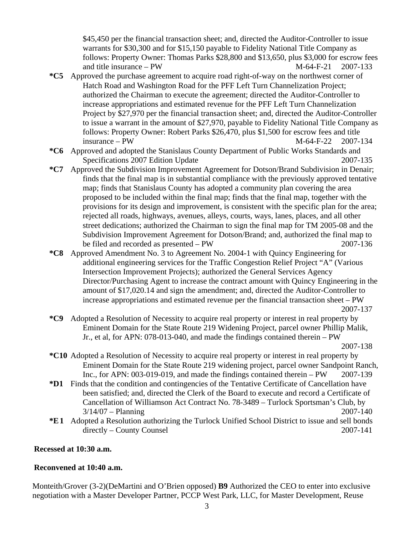\$45,450 per the financial transaction sheet; and, directed the Auditor-Controller to issue warrants for \$30,300 and for \$15,150 payable to Fidelity National Title Company as follows: Property Owner: Thomas Parks \$28,800 and \$13,650, plus \$3,000 for escrow fees and title insurance – PW  $M-64-F-21$  2007-133

- **\*C5** Approved the purchase agreement to acquire road right-of-way on the northwest corner of Hatch Road and Washington Road for the PFF Left Turn Channelization Project; authorized the Chairman to execute the agreement; directed the Auditor-Controller to increase appropriations and estimated revenue for the PFF Left Turn Channelization Project by \$27,970 per the financial transaction sheet; and, directed the Auditor-Controller to issue a warrant in the amount of \$27,970, payable to Fidelity National Title Company as follows: Property Owner: Robert Parks \$26,470, plus \$1,500 for escrow fees and title insurance – PW M-64-F-22 2007-134
- **\*C6** Approved and adopted the Stanislaus County Department of Public Works Standards and Specifications 2007 Edition Update 2007-135
- **\*C7** Approved the Subdivision Improvement Agreement for Dotson/Brand Subdivision in Denair; finds that the final map is in substantial compliance with the previously approved tentative map; finds that Stanislaus County has adopted a community plan covering the area proposed to be included within the final map; finds that the final map, together with the provisions for its design and improvement, is consistent with the specific plan for the area; rejected all roads, highways, avenues, alleys, courts, ways, lanes, places, and all other street dedications; authorized the Chairman to sign the final map for TM 2005-08 and the Subdivision Improvement Agreement for Dotson/Brand; and, authorized the final map to be filed and recorded as presented – PW 2007-136
- **\*C8** Approved Amendment No. 3 to Agreement No. 2004-1 with Quincy Engineering for additional engineering services for the Traffic Congestion Relief Project "A" (Various Intersection Improvement Projects); authorized the General Services Agency Director/Purchasing Agent to increase the contract amount with Quincy Engineering in the amount of \$17,020.14 and sign the amendment; and, directed the Auditor-Controller to increase appropriations and estimated revenue per the financial transaction sheet – PW 2007-137

**\*C9** Adopted a Resolution of Necessity to acquire real property or interest in real property by Eminent Domain for the State Route 219 Widening Project, parcel owner Phillip Malik, Jr., et al, for APN: 078-013-040, and made the findings contained therein – PW 2007-138

- **\*C10** Adopted a Resolution of Necessity to acquire real property or interest in real property by Eminent Domain for the State Route 219 widening project, parcel owner Sandpoint Ranch, Inc., for APN: 003-019-019, and made the findings contained therein – PW 2007-139
- **\*D1** Finds that the condition and contingencies of the Tentative Certificate of Cancellation have been satisfied; and, directed the Clerk of the Board to execute and record a Certificate of Cancellation of Williamson Act Contract No. 78-3489 – Turlock Sportsman's Club, by 3/14/07 – Planning 2007-140
- **\*E1** Adopted a Resolution authorizing the Turlock Unified School District to issue and sell bonds directly – County Counsel 2007-141

## **Recessed at 10:30 a.m.**

## **Reconvened at 10:40 a.m.**

Monteith/Grover (3-2)(DeMartini and O'Brien opposed) **B9** Authorized the CEO to enter into exclusive negotiation with a Master Developer Partner, PCCP West Park, LLC, for Master Development, Reuse